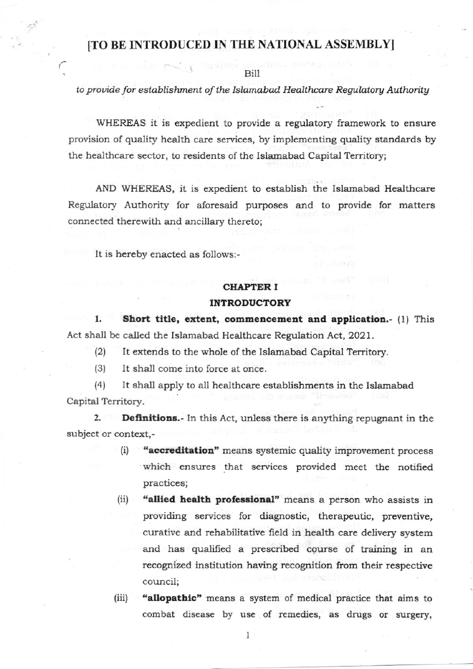## [TO BE INTRODUCED IN THE NATIONAL ASSEMBLY]

Bill

## to provide for establishment of the Islamabad Healthcare Regulatory Authority

WHEREAS it is expedient to provide a regulatory framework to ensure provision of quality health care services, by implementing quality standards by the healthcare sector, to residents of the Islamabad Capital Territory;

AND WHEREAS, it is expedient to establish the Islamabad Healthcare Regulatory Authority for aforesaid purposes and to provide for matters connected therewith and ancillary thereto;

It is hereby enacted as follows:-

## **CHAPTER I**

## **INTRODUCTORY**

1. Short title, extent, commencement and application.- (1) This Act shall be called the Islamabad Healthcare Regulation Act, 2021.

- (2) It extends to the whole of the Islamabad Capital Territory.
- (3) lt shall come into force at once.

(4) It shall apply to all healthcare establishments in the Islamabad Capital Territory.

2. Definitions.- In this Act, unless there is anything repugnant in the subject or context,-

- (i) "accreditation" means systemic quality improvement process which ensures that services provided meet the notified practices;
- (ii) "allied health professional" means a person who assists in providing services for diagnostic, therapeutic, preventive, curative and rehabilitative field in health care delivery system and has qualified a prescribed course of training in an recognized institution having recognition from their respective council;
- (iii) "allopathic" means a system of medical practice that aims to combat disease by use of remedies, as drugs or surgery,

I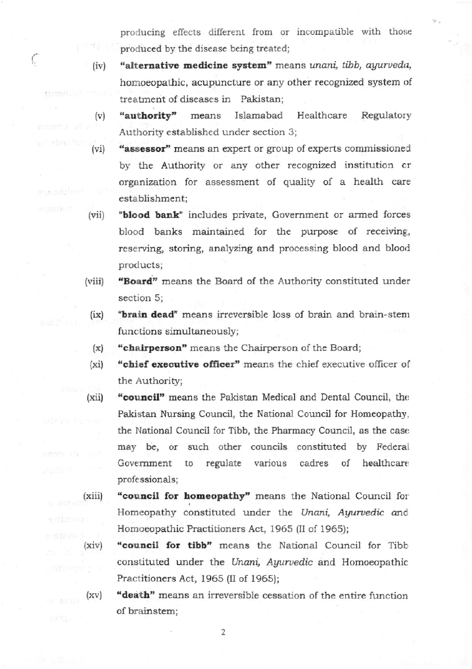producing effects different from or incompatible with those produced by the disease being treated;

"alternative medicine system" means unani, tibb, ayurveda,  $(iv)$ homoeopathic, acupuncture or any other recognized system of treatment of diseases in Pakistan;

ſ,

- "authority" means Islamabad Healthcare Regulatory  $(v)$ Authority established under section 3;
- "assessor" means an expert or group of experts commissioned  $(vi)$ by the Authority or any other recognized institution or organization for assessment of quality of a health care establishment;
- "blood bank" includes private, Government or armed forces  $(vii)$ blood banks maintained for the purpose of receiving, reserving, storing, analyzing and processing blood and blood products;
- "Board" means the Board of the Authority constituted under  $(viii)$ section 5;
	- "brain dead" means irreversible loss of brain and brain-stem  $(ix)$ functions simultaneously;
	- "chairperson" means the Chairperson of the Board;  $(x)$
	- "chief executive officer" means the chief executive officer of  $(xi)$ the Authority;
- "council" means the Pakistan Medical and Dental Council, the  $(xii)$ Pakistan Nursing Council, the National Council for Homeopathy, the National Council for Tibb, the Pharmacy Council, as the case may be, or such other councils constituted by Federal Government to regulate various cadres of healthcare professionals;
- "council for homeopathy" means the National Council for  $(xiii)$ Homeopathy constituted under the Unani, Ayurvedic and Homoeopathic Practitioners Act, 1965 (II of 1965);
- $(xiv)$ "council for tibb" means the National Council for Tibb constituted under the Unani, Ayurvedic and Homoeopathic Practitioners Act, 1965 (II of 1965);
- "death" means an irreversible cessation of the entire function  $(xv)$ of brainstem;

 $\overline{2}$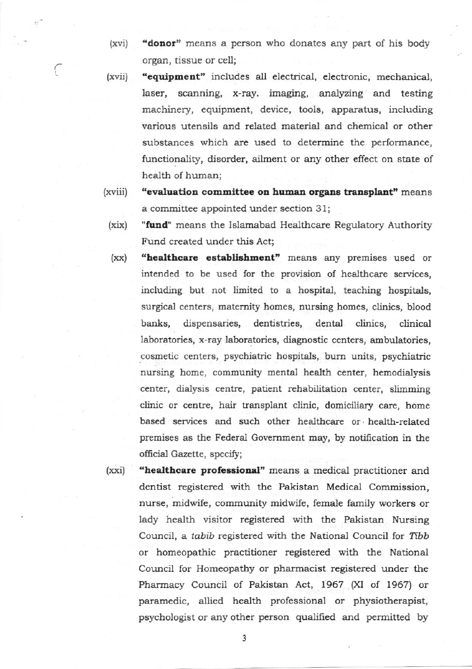"donor" means a person who donates any part of his body  $(xvi)$ organ, tissue or cell;

ſ

- "equipment" includes all electrical, electronic, mechanical,  $(xvii)$ laser, scanning, x-ray. imaging, analyzing and testing machinery, equipment, device, tools, apparatus, including various utensils and related material and chemical or other substances which are used to determine the performance, functionality, disorder, ailment or any other effect on state of health of human;
- "evaluation committee on human organs transplant" means (xviii) a committee appointed under section 31;
	- "fund" means the Islamabad Healthcare Regulatory Authority  $(xix)$ Fund created under this Act:
	- "healthcare establishment" means any premises used or  $(xx)$ intended to be used for the provision of healthcare services, including but not limited to a hospital, teaching hospitals, surgical centers, maternity homes, nursing homes, clinics, blood banks, dispensaries, dentistries, dental clinics. clinical laboratories, x-ray laboratories, diagnostic centers, ambulatories, cosmetic centers, psychiatric hospitals, burn units, psychiatric nursing home, community mental health center, hemodialysis center, dialysis centre, patient rehabilitation center, slimming clinic or centre, hair transplant clinic, domiciliary care, home based services and such other healthcare or health-related premises as the Federal Government may, by notification in the official Gazette, specify;
- "healthcare professional" means a medical practitioner and  $(xxi)$ dentist registered with the Pakistan Medical Commission. nurse, midwife, community midwife, female family workers or lady health visitor registered with the Pakistan Nursing Council, a tabib registered with the National Council for Tibb or homeopathic practitioner registered with the National Council for Homeopathy or pharmacist registered under the Pharmacy Council of Pakistan Act, 1967 (XI of 1967) or paramedic, allied health professional or physiotherapist, psychologist or any other person qualified and permitted by

3